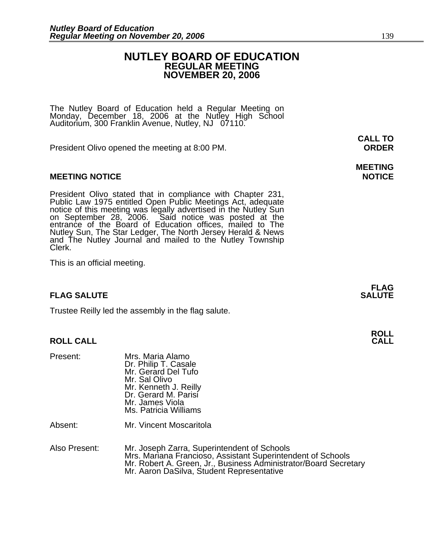### **NUTLEY BOARD OF EDUCATION REGULAR MEETING NOVEMBER 20, 2006**

The Nutley Board of Education held a Regular Meeting on Monday, December 18, 2006 at the Nutley High School Auditorium, 300 Franklin Avenue, Nutley, NJ 07110.

President Olivo opened the meeting at 8:00 PM. **ORDER**

#### **MEETING NOTICE NOTICE AND RESERVE ASSESS**

President Olivo stated that in compliance with Chapter 231,<br>Public Law 1975 entitled Open Public Meetings Act, adequate<br>notice of this meeting was legally advertised in the Nutley Sun<br>on September 28, 2006. Said notice was Nutley Sun, The Star Ledger, The North Jersey Herald & News and The Nutley Journal and mailed to the Nutley Township Clerk.

This is an official meeting.

### **FLAG SALUTE** SALUTE SALUTE SALUTE SALUTE SALUTE

Trustee Reilly led the assembly in the flag salute.

### **ROLL CALL**

| Present:      | Mrs. Maria Alamo<br>Dr. Philip T. Casale<br>Mr. Gerard Del Tufo<br>Mr. Sal Olivo<br>Mr. Kenneth J. Reilly<br>Dr. Gerard M. Parisi<br>Mr. James Viola<br>Ms. Patricia Williams |
|---------------|-------------------------------------------------------------------------------------------------------------------------------------------------------------------------------|
| Absent:       | Mr. Vincent Moscaritola                                                                                                                                                       |
| Also Present: | Mr. Joseph Zarra, Superinte<br>Mrs. Mariana Erancioso, As                                                                                                                     |

Also Present: Mr. Joseph Zarra, Superintendent of Schools Mrs. Mariana Francioso, Assistant Superintendent of Schools<br>Mr. Robert A. Green, Jr., Business Administrator/Board Secretary<br>Mr. Aaron DaSilva, Student Representative

**FLAG** 

**ROLL** 

# **MEETING**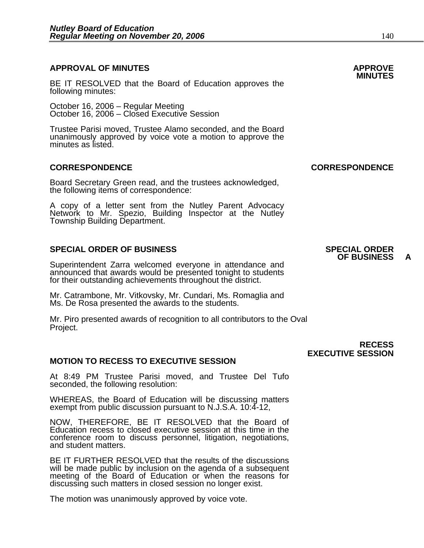### **APPROVAL OF MINUTES APPROVE**

BE IT RESOLVED that the Board of Education approves the following minutes:

 October 16, 2006 – Regular Meeting October 16, 2006 – Closed Executive Session

Trustee Parisi moved, Trustee Alamo seconded, and the Board unanimously approved by voice vote a motion to approve the minutes as listed.

#### **CORRESPONDENCE CORRESPONDENCE**

Board Secretary Green read, and the trustees acknowledged, the following items of correspondence:

A copy of a letter sent from the Nutley Parent Advocacy Network to Mr. Spezio, Building Inspector at the Nutley Township Building Department.

#### **SPECIAL ORDER OF BUSINESS SPECIAL ORDER**

Superintendent Zarra welcomed everyone in attendance and announced that awards would be presented tonight to students for their outstanding achievements throughout the district.

Mr. Catrambone, Mr. Vitkovsky, Mr. Cundari, Ms. Romaglia and Ms. De Rosa presented the awards to the students.

Mr. Piro presented awards of recognition to all contributors to the Oval Project.

#### **MOTION TO RECESS TO EXECUTIVE SESSION**

At 8:49 PM Trustee Parisi moved, and Trustee Del Tufo seconded, the following resolution:

WHEREAS, the Board of Education will be discussing matters exempt from public discussion pursuant to N.J.S.A. 10:4-12,

NOW, THEREFORE, BE IT RESOLVED that the Board of Education recess to closed executive session at this time in the conference room to discuss personnel, litigation, negotiations, and student matters.

BE IT FURTHER RESOLVED that the results of the discussions will be made public by inclusion on the agenda of a subsequent meeting of the Board of Education or when the reasons for discussing such matters in closed session no longer exist.

The motion was unanimously approved by voice vote.

## **OF BUSINESS A**

 **RECESS EXECUTIVE SESSION**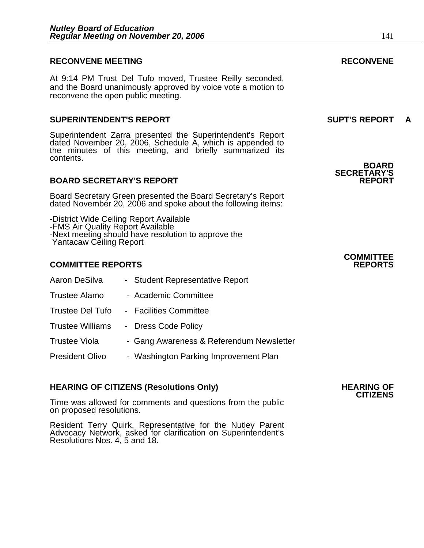#### **RECONVENE MEETING RECONVENE**

At 9:14 PM Trust Del Tufo moved, Trustee Reilly seconded, and the Board unanimously approved by voice vote a motion to reconvene the open public meeting.

#### **SUPERINTENDENT'S REPORT SUPT'S REPORT A**

Superintendent Zarra presented the Superintendent's Report dated November 20, 2006, Schedule A, which is appended to the minutes of this meeting, and briefly summarized its contents.

#### **BOARD SECRETARY'S REPORT**

Board Secretary Green presented the Board Secretary's Report dated November 20, 2006 and spoke about the following items:

-District Wide Ceiling Report Available -FMS Air Quality Report Available -Next meeting should have resolution to approve the Yantacaw Ceiling Report

#### **COMMITTEE REPORTS REPORTS**

| Aaron DeSilva           | - Student Representative Report          |
|-------------------------|------------------------------------------|
| <b>Trustee Alamo</b>    | - Academic Committee                     |
| Trustee Del Tufo        | - Facilities Committee                   |
| <b>Trustee Williams</b> | - Dress Code Policy                      |
| <b>Trustee Viola</b>    | - Gang Awareness & Referendum Newsletter |
| <b>President Olivo</b>  | - Washington Parking Improvement Plan    |

### **HEARING OF CITIZENS (Resolutions Only) HEARING OF CITIZENS**

Time was allowed for comments and questions from the public on proposed resolutions.

Resident Terry Quirk, Representative for the Nutley Parent Advocacy Network, asked for clarification on Superintendent's Resolutions Nos. 4, 5 and 18.

**BOARD SECRETARY'S**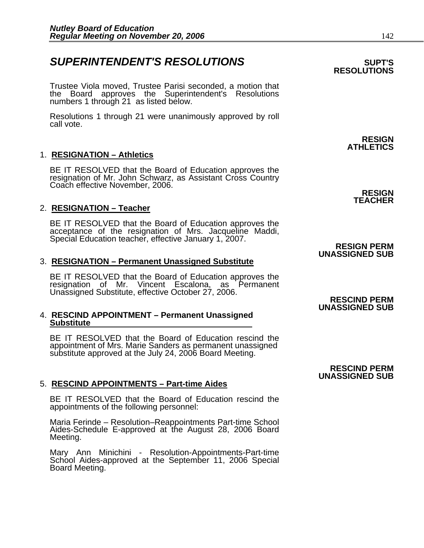### **SUPERINTENDENT'S RESOLUTIONS EXAMPLE ASSESSED ASSESSED ASSESSED ASSESSED ASSESSED ASSESSED ASSESSED ASSESSED ASSESSED ASSESSED ASSESSED ASSESSED ASSESSED ASSESSED ASSESSED ASSESSED ASSESSED ASSESSED ASSESSED ASSESSED AS**

Trustee Viola moved, Trustee Parisi seconded, a motion that the Board approves the Superintendent's Resolutions numbers 1 through 21 as listed below.

Resolutions 1 through 21 were unanimously approved by roll call vote.

#### 1. **RESIGNATION – Athletics**

BE IT RESOLVED that the Board of Education approves the resignation of Mr. John Schwarz, as Assistant Cross Country Coach effective November, 2006.

#### 2. **RESIGNATION – Teacher**

BE IT RESOLVED that the Board of Education approves the acceptance of the resignation of Mrs. Jacqueline Maddi, Special Education teacher, effective January 1, 2007. **RESIGN PERM RESIGN PERM** 

#### 3. **RESIGNATION – Permanent Unassigned Substitute**

BE IT RESOLVED that the Board of Education approves the<br>resignation of Mr. Vincent Escalona, as Permanent Unassigned Substitute, effective October 27, 2006.<br>**RESCIND PERM** 

#### 4. **RESCIND APPOINTMENT – Permanent Unassigned Substitute**

BE IT RESOLVED that the Board of Education rescind the appointment of Mrs. Marie Sanders as permanent unassigned substitute approved at the July 24, 2006 Board Meeting.

#### 5. **RESCIND APPOINTMENTS – Part-time Aides**

BE IT RESOLVED that the Board of Education rescind the appointments of the following personnel:

Maria Ferinde – Resolution–Reappointments Part-time School Aides-Schedule E-approved at the August 28, 2006 Board Meeting.

Mary Ann Minichini - Resolution-Appointments-Part-time School Aides-approved at the September 11, 2006 Special Board Meeting.

**RESIGN ATHLETICS** 

> **RESIGN TEACHER**

## **UNASSIGNED SUB**

**UNASSIGNED SUB** 

#### **RESCIND PERM UNASSIGNED SUB**

## **RESOLUTIONS**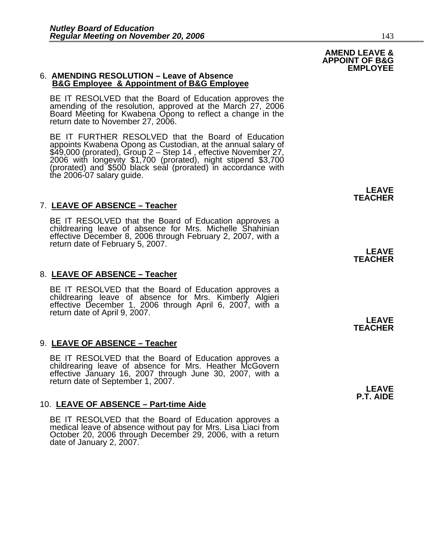#### 6. **AMENDING RESOLUTION – Leave of Absence B&G Employee & Appointment of B&G Employee**

BE IT RESOLVED that the Board of Education approves the amending of the resolution, approved at the March 27, 2006 Board Meeting for Kwabena Opong to reflect a change in the return date to November 27, 2006.

BE IT FURTHER RESOLVED that the Board of Education appoints Kwabena Opong as Custodian, at the annual salary of \$49,000 (prorated), Group 2 – Step 14 , effective November 27, 2006 with longevity \$1,700 (prorated), night stipend \$3,700 (prorated) and \$500 black seal (prorated) in accordance with the 2006-07 salary guide.

#### 7. **LEAVE OF ABSENCE – Teacher** j

BE IT RESOLVED that the Board of Education approves a childrearing leave of absence for Mrs. Michelle Shahinian effective December 8, 2006 through February 2, 2007, with a return date of February 5, 2007. **LEAVE** 

#### 8. **LEAVE OF ABSENCE – Teacher**

BE IT RESOLVED that the Board of Education approves a childrearing leave of absence for Mrs. Kimberly Algieri effective December 1, 2006 through April 6, 2007, with a<br>return date of April 9, 2007.

#### 9. **LEAVE OF ABSENCE – Teacher**

BE IT RESOLVED that the Board of Education approves a childrearing leave of absence for Mrs. Heather McGovern effective January 16, 2007 through June 30, 2007, with a return date of September 1, 2007.

#### 10. **LEAVE OF ABSENCE – Part-time Aide**

BE IT RESOLVED that the Board of Education approves a medical leave of absence without pay for Mrs. Lisa Liaci from October 20, 2006 through December 29, 2006, with a return date of January 2, 2007.

**TEACHER** 

**LEAVE TEACHER** 

**LEAVE P.T. AIDE** 

**AMEND LEAVE & APPOINT OF B&G** 

**EMPLOYEE**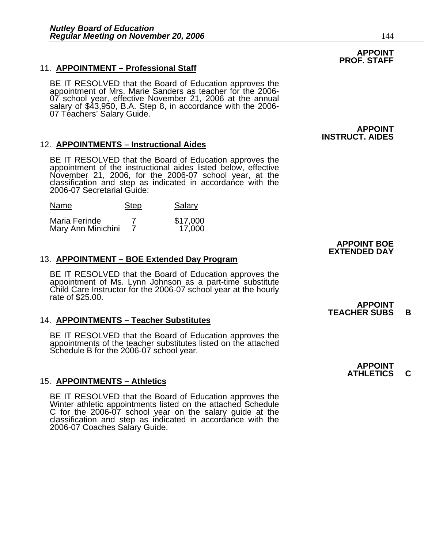#### 11. **APPOINTMENT – Professional Staff**

BE IT RESOLVED that the Board of Education approves the appointment of Mrs. Marie Sanders as teacher for the 2006- 07 school year, effective November 21, 2006 at the annual salary of \$43,950, B.A. Step 8, in accordance with the 2006- 07 Téachers' Salary Guide.

#### 12. **APPOINTMENTS – Instructional Aides**

BE IT RESOLVED that the Board of Education approves the appointment of the instructional aides listed below, effective November 21, 2006, for the 2006-07 school year, at the classification and step as indicated in accordance with the classification and step as indicated in accordance with the 2006-07 Secretarial Guide:

| Name | <b>Step</b> | Salary |
|------|-------------|--------|
|------|-------------|--------|

| Maria Ferinde      | \$17,000 |
|--------------------|----------|
| Mary Ann Minichini | 17,000   |

#### 13. **APPOINTMENT – BOE Extended Day Program**

BE IT RESOLVED that the Board of Education approves the appointment of Ms. Lynn Johnson as a part-time substitute Child Care Instructor for the 2006-07 school year at the hourly rate of \$25.00.

#### 14. **APPOINTMENTS – Teacher Substitutes**

BE IT RESOLVED that the Board of Education approves the appointments of the teacher substitutes listed on the attached Schedule B for the 2006-07 school year.

#### 15. **APPOINTMENTS – Athletics**

BE IT RESOLVED that the Board of Education approves the Winter athletic appointments listed on the attached Schedule C for the 2006-07 school year on the salary guide at the classification and step as indicated in accordance with the 2006-07 Coaches Salary Guide.

#### **APPOINT PROF. STAFF**

**APPOINT INSTRUCT. AIDES** 

#### **APPOINT BOE EXTENDED DAY**

#### **APPOINT TEACHER SUBS B**

**APPOINT ATHLETICS C**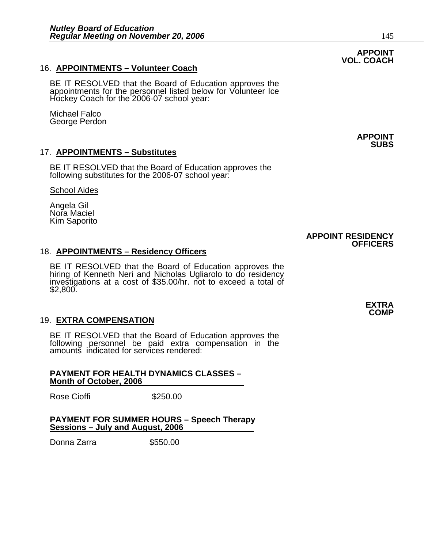#### 16. **APPOINTMENTS – Volunteer Coach**

BE IT RESOLVED that the Board of Education approves the appointments for the personnel listed below for Volunteer Ice Hockey Coach for the 2006-07 school year:

Michael Falco George Perdon

#### 17. **APPOINTMENTS – Substitutes**

BE IT RESOLVED that the Board of Education approves the following substitutes for the 2006-07 school year:

School Aides

Angela Gil Nora Maciel Kim Saporito

### 18. **APPOINTMENTS – Residency Officers**

BE IT RESOLVED that the Board of Education approves the hiring of Kenneth Neri and Nicholas Ugliarolo to do residency investigations at a cost of \$35.00/hr. not to exceed a total of \$2,800.

#### 19. **EXTRA COMPENSATION**

BE IT RESOLVED that the Board of Education approves the following personnel be paid extra compensation in the amounts indicated for services rendered:

#### **PAYMENT FOR HEALTH DYNAMICS CLASSES – Month of October, 2006**

Rose Cioffi **\$250.00** 

#### **PAYMENT FOR SUMMER HOURS – Speech Therapy Sessions – July and August, 2006**

Donna Zarra  $$550.00$ 

#### **APPOINT VOL. COACH**

**APPOINT SUBS** 

#### **APPOINT RESIDENCY OFFICERS**

**EXTRA COMP**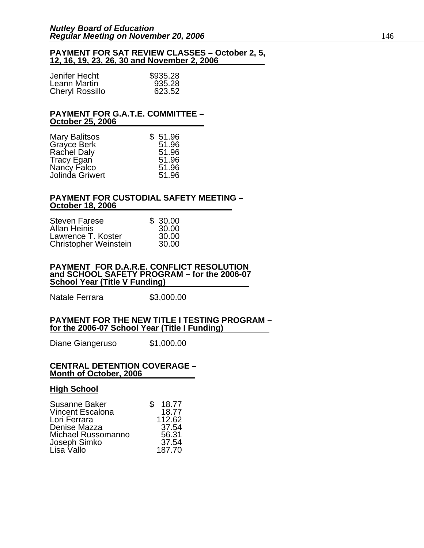#### **PAYMENT FOR SAT REVIEW CLASSES – October 2, 5, 12, 16, 19, 23, 26, 30 and November 2, 2006**

| Jenifer Hecht          | \$935.28 |
|------------------------|----------|
| Leann Martin           | 935.28   |
| <b>Cheryl Rossillo</b> | 623.52   |

#### **PAYMENT FOR G.A.T.E. COMMITTEE – October 25, 2006**

| <b>Mary Balitsos</b> | \$51.96 |
|----------------------|---------|
| Grayce Berk          | 51.96   |
| <b>Rachel Daly</b>   | 51.96   |
| <b>Tracy Egan</b>    | 51.96   |
| Nancy Falco          | 51.96   |
| Jolinda Griwert      | 51.96   |

#### **PAYMENT FOR CUSTODIAL SAFETY MEETING – October 18, 2006**

| <b>Steven Farese</b>         | \$30.00 |
|------------------------------|---------|
| <b>Allan Heinis</b>          | 30.00   |
| Lawrence T. Koster           | 30.00   |
| <b>Christopher Weinstein</b> | 30.00   |

#### **PAYMENT FOR D.A.R.E. CONFLICT RESOLUTION and SCHOOL SAFETY PROGRAM – for the 2006-07 School Year (Title V Funding)**

Natale Ferrara \$3,000.00

#### **PAYMENT FOR THE NEW TITLE I TESTING PROGRAM – for the 2006-07 School Year (Title I Funding)**

Diane Giangeruso \$1,000.00

#### **CENTRAL DETENTION COVERAGE – Month of October, 2006**

### **High School**

| Susanne Baker           | 18.77<br>S |
|-------------------------|------------|
| <b>Vincent Escalona</b> | 18.77      |
| Lori Ferrara            | 112.62     |
| Denise Mazza            | 37.54      |
| Michael Russomanno      | 56.31      |
| Joseph Simko            | 37.54      |
| Lisa Vallo              | 187.70     |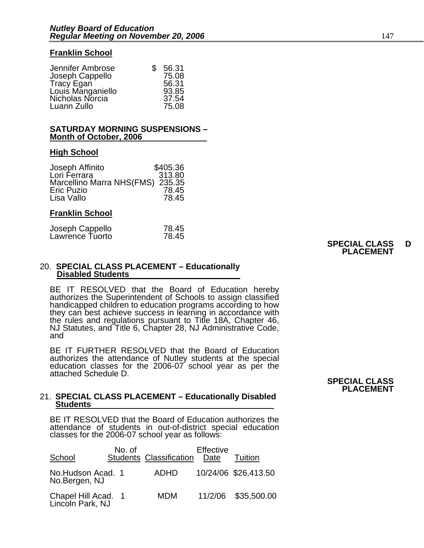#### **Franklin School**

| Jennifer Ambrose  | SS. | 56.31 |
|-------------------|-----|-------|
| Joseph Cappello   |     | 75.08 |
| Tracy Egan        |     | 56.31 |
| Louis Manganiello |     | 93.85 |
| Nicholas Norcia   |     | 37.54 |
| Luann Zullo       |     | 75.08 |

#### **SATURDAY MORNING SUSPENSIONS – Month of October, 2006**

#### **High School**

| Joseph Affinito                  | \$405.36 |
|----------------------------------|----------|
| Lori Ferrara                     | 313.80   |
| Marcellino Marra NHS(FMS) 235.35 |          |
| <b>Eric Puzio</b>                | 78.45    |
| Lisa Vallo                       | 78.45    |
|                                  |          |

#### **Franklin School**

| Joseph Cappello<br>Lawrence Tuorto | 78.45 |
|------------------------------------|-------|
|                                    | 78.45 |

#### **SPECIAL CLASS D PLACEMENT**

#### 20. **SPECIAL CLASS PLACEMENT – Educationally Disabled Students**

BE IT RESOLVED that the Board of Education hereby authorizes the Superintendent of Schools to assign classified handicapped children to education programs according to how they can best achieve success in learning in accordance with the rules and regulations pursuant to Title 18A, Chapter 46, NJ Statutes, and Title 6, Chapter 28, NJ Administrative Code, and

BE IT FURTHER RESOLVED that the Board of Education authorizes the attendance of Nutley students at the special education classes for the 2006-07 school year as per the attached Schedule D.

#### 21. **SPECIAL CLASS PLACEMENT – Educationally Disabled Students**

BE IT RESOLVED that the Board of Education authorizes the attendance of students in out-of-district special education classes for the 2006-07 school year as follows:

| School                                  | No. of | <b>Students Classification</b> | Effective<br>Date | Tuition              |
|-----------------------------------------|--------|--------------------------------|-------------------|----------------------|
| No.Hudson Acad. 1<br>No.Bergen, NJ      |        | <b>ADHD</b>                    |                   | 10/24/06 \$26,413.50 |
| Chapel Hill Acad. 1<br>Lincoln Park, NJ |        | <b>MDM</b>                     |                   | 11/2/06 \$35,500.00  |

#### **SPECIAL CLASS PLACEMENT**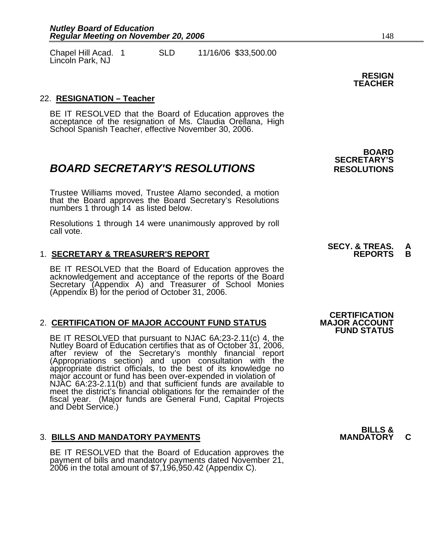Chapel Hill Acad. 1 SLD 11/16/06 \$33,500.00 Lincoln Park, NJ

#### 22. **RESIGNATION – Teacher**

BE IT RESOLVED that the Board of Education approves the acceptance of the resignation of Ms. Claudia Orellana, High School Spanish Teacher, effective November 30, 2006.

### **BOARD SECRETARY'S RESOLUTIONS** RESOLUTIONS

Trustee Williams moved, Trustee Alamo seconded, a motion that the Board approves the Board Secretary's Resolutions numbers 1 through 14 as listed below.

Resolutions 1 through 14 were unanimously approved by roll call vote.

#### 1. **SECRETARY & TREASURER'S REPORT**

BE IT RESOLVED that the Board of Education approves the acknowledgement and acceptance of the reports of the Board Secretary (Appendix A) and Treasurer of School Monies (Appendix B) for the period of October 31, 2006.

#### 2. **CERTIFICATION OF MAJOR ACCOUNT FUND STATUS**

BE IT RESOLVED that pursuant to NJAC 6A:23-2.11(c) 4, the Nutley Board of Education certifies that as of October 31, 2006, after review of the Secretary's monthly financial report (Appropriations section) and upon consultation with the<br>appropriate district officials, to the best of its knowledge no<br>major account or fund has been over-expended in violation of<br>NJAC 6A:23-2.11(b) and that sufficient fu meet the district's financial obligations for the remainder of the fiscal year. (Major funds are General Fund, Capital Projects and Debt Service.)

#### **3. BILLS AND MANDATORY PAYMENTS**

BE IT RESOLVED that the Board of Education approves the payment of bills and mandatory payments dated November 21, 2006 in the total amount of \$7,196,950.42 (Appendix C).

 **BOARD SECRETARY'S** 

## **SECY. & TREAS. A**

### **CERTIFICATION<br>MAJOR ACCOUNT FUND STATUS**

**BILLS &** 

**RESIGN TEACHER**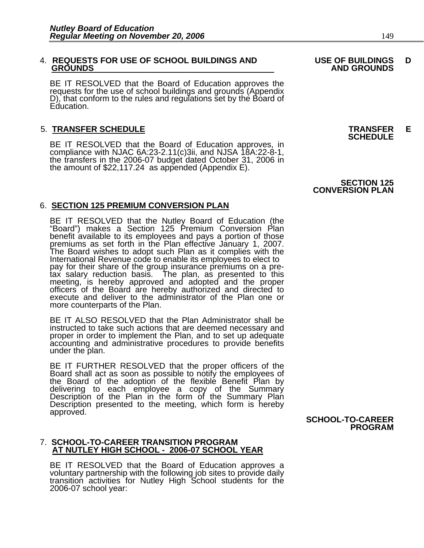## 4. **REQUESTS FOR USE OF SCHOOL BUILDINGS AND USE OF BUILDINGS D**

BE IT RESOLVED that the Board of Education approves the requests for the use of school buildings and grounds (Appendix D), that conform to the rules and regulations set by the Board of Education.

5. **TRANSFER SCHEDULE**<br>**BE IT RESOLVED that the Board of Education approves, in SCHEDULE**<br>**BE IT RESOLVED that the Board of Education approves, in** compliance with NJAC 6A:23-2.11(c)3ii, and NJSA 18A:22-8-1,<br>the transfers in the 2006-07 budget dated October 31, 2006 in<br>the amount of \$22,117.24 as appended (Appendix E).

#### 6. **SECTION 125 PREMIUM CONVERSION PLAN**

BE IT RESOLVED that the Nutley Board of Education (the "Board") makes a Section 125 Premium Conversion Plan benefit available to its employees and pays a portion of those benefit available to its employees and pays a portion of those premiums as set forth in the Plan effective January 1, 2007. The Board wishes to adopt such Plan as it complies with the<br>International Revenue code to enable its employees to elect to pay for their share of the group insurance premiums on a pretax salary reduction basis. The plan, as presented to this meeting, is hereby approved and adopted and the proper officers of the Board are hereby authorized and directed to execute and deliver to the administrator of the Plan one or more counterparts of the Plan.

BE IT ALSO RESOLVED that the Plan Administrator shall be instructed to take such actions that are deemed necessary and proper in order to implement the Plan, and to set up adequate accounting and administrative procedures to provide benefits under the plan.

BE IT FURTHER RESOLVED that the proper officers of the Board shall act as soon as possible to notify the employees of the Board of the adoption of the flexible Benefit Plan by the Board of the adoption of the flexible Benefit Plan by<br>delivering to each employee a copy of the Summary Description of the Plan in the form of the Summary Plan<br>Description presented to the meeting, which form is hereby<br>approved. **SCHOOL-TO-CAREER** 

## **PROGRAM**

#### 7. **SCHOOL-TO-CAREER TRANSITION PROGRAM AT NUTLEY HIGH SCHOOL - 2006-07 SCHOOL YEAR**

BE IT RESOLVED that the Board of Education approves a voluntary partnership with the following job sites to provide daily transition activities for Nutley High School students for the 2006-07 school year:

#### **SECTION 125 CONVERSION PLAN**

 **GROUNDS AND GROUNDS**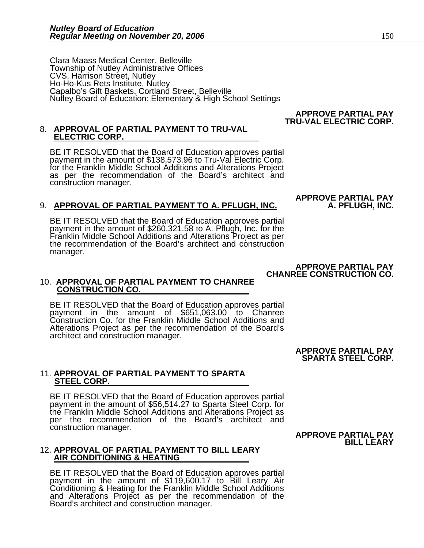Clara Maass Medical Center, Belleville Township of Nutley Administrative Offices CVS, Harrison Street, Nutley Ho-Ho-Kus Rets Institute, Nutley Capalbo's Gift Baskets, Cortland Street, Belleville Nutley Board of Education: Elementary & High School Settings

#### **APPROVE PARTIAL PAY TRU-VAL ELECTRIC CORP.**

**APPROVE PARTIAL PAY** 

## 8. **APPROVAL OF PARTIAL PAYMENT TO TRU-VAL ELECTRIC CORP.**

BE IT RESOLVED that the Board of Education approves partial payment in the amount of \$138,573.96 to Tru-Val Electric Corp.<br>for the Franklin Middle School Additions and Alterations Project<br>as per the recommendation of the Board's architect and construction manager.

### 9. **APPROVAL OF PARTIAL PAYMENT TO A. PFLUGH, INC. A. PFLUGH, INC.**

BE IT RESOLVED that the Board of Education approves partial payment in the amount of \$260,321.58 to A. Pflugh, Inc. for the Franklin Middle School Additions and Alterations Project as per<br>the recommendation of the Board's architect and construction manager.

> **APPROVE PARTIAL PAY CHANREE CONSTRUCTION CO.**

#### 10. **APPROVAL OF PARTIAL PAYMENT TO CHANREE CONSTRUCTION CO.**

BE IT RESOLVED that the Board of Education approves partial payment in the amount of \$651,063.00 to Chanree Construction Co. for the Franklin Middle School Additions and Alterations Project as per the recommendation of the Board's architect and construction manager.

> **APPROVE PARTIAL PAY SPARTA STEEL CORP.**

#### 11. **APPROVAL OF PARTIAL PAYMENT TO SPARTA STEEL CORP.**

BE IT RESOLVED that the Board of Education approves partial payment in the amount of \$56,514.27 to Sparta Steel Corp. for the Franklin Middle School Additions and Alterations Project as per the recommendation of the Board's architect and construction manager.

 **APPROVE PARTIAL PAY BILL LEARY** 

## 12. **APPROVAL OF PARTIAL PAYMENT TO BILL LEARY AIR CONDITIONING & HEATING**

BE IT RESOLVED that the Board of Education approves partial payment in the amount of \$119,600.17 to Bill Leary Air Conditioning & Heating for the Franklin Middle School Additions and Alterations Project as per the recommendation of the Board's architect and construction manager.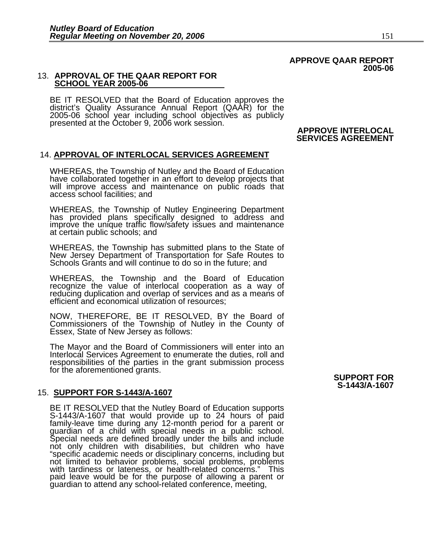#### **APPROVE QAAR REPORT 2005-06**

#### 13. **APPROVAL OF THE QAAR REPORT FOR SCHOOL YEAR 2005-06**

BE IT RESOLVED that the Board of Education approves the district's Quality Assurance Annual Report (QAAR) for the 2005-06 school year including school objectives as publicly presented at the October 9, 2006 work session.

#### **APPROVE INTERLOCAL SERVICES AGREEMENT**

#### 14. **APPROVAL OF INTERLOCAL SERVICES AGREEMENT**

WHEREAS, the Township of Nutley and the Board of Education have collaborated together in an effort to develop projects that will improve access and maintenance on public roads that access school facilities; and

WHEREAS, the Township of Nutley Engineering Department has provided plans specifically designed to address and improve the unique traffic flow/safety issues and maintenance at certain public schools; and

WHEREAS, the Township has submitted plans to the State of New Jersey Department of Transportation for Safe Routes to Schools Grants and will continue to do so in the future; and

WHEREAS, the Township and the Board of Education recognize the value of interlocal cooperation as a way of reducing duplication and overlap of services and as a means of efficient and economical utilization of resources;

NOW, THEREFORE, BE IT RESOLVED, BY the Board of Commissioners of the Township of Nutley in the County of Essex, State of New Jersey as follows:

The Mayor and the Board of Commissioners will enter into an Interlocal Services Agreement to enumerate the duties, roll and responsibilities of the parties in the grant submission process for the aforementioned grants. **SUPPORT FOR** 

#### 15. **SUPPORT FOR S-1443/A-1607**

BE IT RESOLVED that the Nutley Board of Education supports S-1443/A-1607 that would provide up to 24 hours of paid family-leave time during any 12-month period for a parent or guardian of a child with special needs in a public school. Special needs are defined broadly under the bills and include<br>not only children with disabilities, but children who have "specific academic needs or disciplinary concerns, including but not limited to behavior problems, social problems, problems with tardiness or lateness, or health-related concerns." This paid leave would be for the purpose of allowing a parent or guardian to attend any school-related conference, meeting,

## **S-1443/A-1607**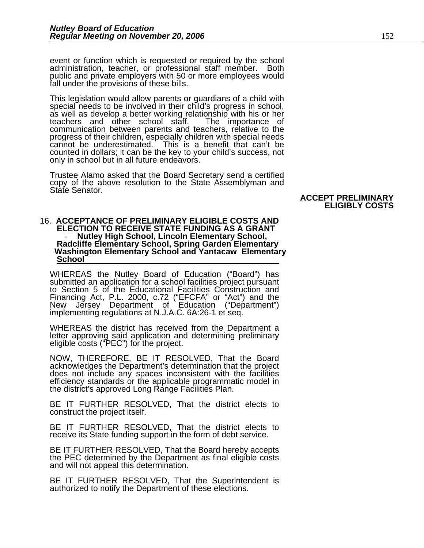event or function which is requested or required by the school administration, teacher, or professional staff member. Both public and private employers with 50 or more employees would fall under the provisions of these bills.

This legislation would allow parents or guardians of a child with special needs to be involved in their child's progress in school, as well as develop a better working relationship with his or her teachers and other school staff. The importance of communication between parents and teache cannot be underestimated. This is a benefit that can't be counted in dollars; it can be the key to your child's success, not only in school but in all future endeavors.

Trustee Alamo asked that the Board Secretary send a certified<br>copy of the above resolution to the State Assemblyman and<br>State Senator.

### 16. **ACCEPTANCE OF PRELIMINARY ELIGIBLE COSTS AND ELECTION TO RECEIVE STATE FUNDING AS A GRANT PURPLEM AS A GRANT PRODUCT A GRANT PRODUCT AS A GRANT PURPLEM IN A GRANT PRODUCT AS A GRANT PURPLEM IN A GRANT PURPLEM IN A GRANT PURPLEM THE MEAN POST OF THE MEAN PRODUCT AS A School**

WHEREAS the Nutley Board of Education ("Board") has<br>submitted an application for a school facilities project pursuant<br>to Section 5 of the Educational Facilities Construction and Financing Act, P.L. 2000, c.72 ("EFCFA" or "Act") and the<br>New Jersey Department of Education ("Department") New Jersey Department of Education ("Department")<br>implementing regulations at N.J.A.C. 6A:26-1 et seq.

WHEREAS the district has received from the Department a letter approving said application and determining preliminary eligible costs ("PEC") for the project.

NOW, THEREFORE, BE IT RESOLVED, That the Board acknowledges the Department's determination that the project does not include any spaces inconsistent with the facilities efficiency standards or the applicable programmatic model in the district's approved Long Range Facilities Plan.

BE IT FURTHER RESOLVED, That the district elects to construct the project itself.

BE IT FURTHER RESOLVED, That the district elects to receive its State funding support in the form of debt service.

BE IT FURTHER RESOLVED, That the Board hereby accepts the PEC determined by the Department as final eligible costs and will not appeal this determination.

BE IT FURTHER RESOLVED, That the Superintendent is authorized to notify the Department of these elections.

### **ACCEPT PRELIMINARY**

**ELIGIBLY COSTS**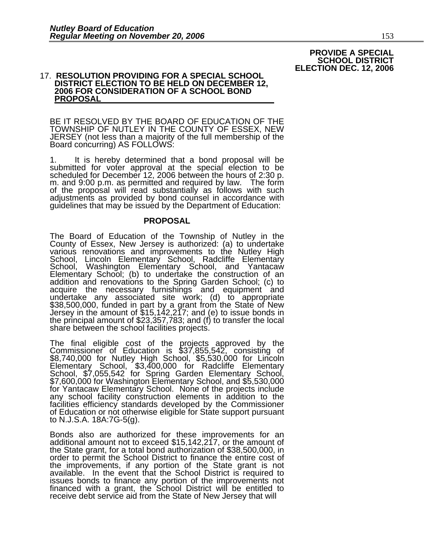**PROVIDE A SPECIAL SCHOOL DISTRICT ELECTION DEC. 12, 2006** 

#### 17. **RESOLUTION PROVIDING FOR A SPECIAL SCHOOL DISTRICT ELECTION TO BE HELD ON DECEMBER 12, 2006 FOR CONSIDERATION OF A SCHOOL BOND PROPOSAL**

BE IT RESOLVED BY THE BOARD OF EDUCATION OF THE TOWNSHIP OF NUTLEY IN THE COUNTY OF ESSEX, NEW JERSEY (not less than a majority of the full membership of the Board concurring) AS FOLLOWS:

1. It is hereby determined that a bond proposal will be submitted for voter approval at the special election to be scheduled for December 12, 2006 between the hours of 2:30 p.<br>m. and 9:00 p.m. as permitted and required by law. The form<br>of the proposal will read substantially as follows with such<br>adjustments as provided by bond counsel guidelines that may be issued by the Department of Education:

#### **PROPOSAL**

The Board of Education of the Township of Nutley in the County of Essex, New Jersey is authorized: (a) to undertake various renovations and improvements to the Nutley High School, Lincoln Elementary School, Radcliffe Elementary School, Washington Elementary School, and Yantacaw Elementary School; (b) to undertake the construction of an addition and renovations to the Spring Garden School; (c) to<br>acquire the necessary furnishings and equipment and undertake any associated site work; (d) to appropriate \$38,500,000, funded in part by a grant from the State of New<br>Jersey in the amount of \$15,142,217; and (e) to issue bonds in Jersey in the amount of \$15,142,217; and (e) to issue bonds in the principal amount of \$23,357,783; and (f) to transfer the local share between the school facilities projects.

The final eligible cost of the projects approved by the Commissioner of Education is \$37,855,542, consisting of \$8,740,000 for Nutley High School, \$5,530,000 for Lincoln Elementary School, \$3,400,000 for Radcliffe Elementa Elementary School, \$3,400,000 for Radcliffe Elementary School, \$7,055,542 for Spring Garden Elementary School, \$7,600,000 for Washington Elementary School, and \$5,530,000 for Yantacaw Elementary School. None of the projects include any school facility construction elements in addition to the facilities efficiency standards developed by the Commissioner of Education or not otherwise eligible for State support pursuant to N.J.S.A. 18A:7G-5(g).

Bonds also are authorized for these improvements for an additional amount not to exceed \$15,142,217, or the amount of the State grant, for a total bond authorization of \$38,500,000, in order to permit the School District to finance the entire cost of the improvements, if any portion of the State grant is not the improvements, if any portion of the State grant is not<br>available. In the event that the School District is required to<br>issues bonds to finance any portion of the improvements not financed with a grant, the School District will be entitled to receive debt service aid from the State of New Jersey that will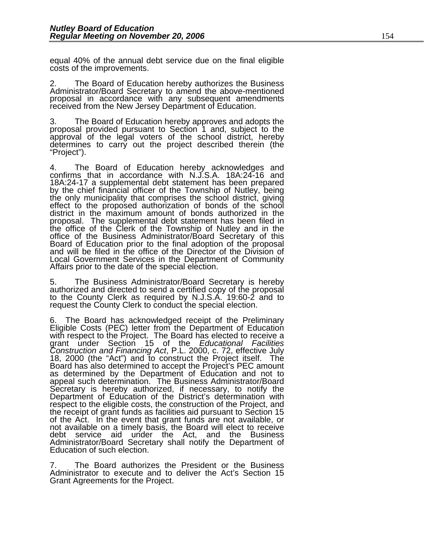equal 40% of the annual debt service due on the final eligible costs of the improvements.

2. The Board of Education hereby authorizes the Business Administrator/Board Secretary to amend the above-mentioned proposal in accordance with any subsequent amendments received from the New Jersey Department of Education.

3. The Board of Education hereby approves and adopts the proposal provided pursuant to Section 1 and, subject to the approval of the legal voters of the school district, hereby determines to carry out the project described therein (the "Project").

4. The Board of Education hereby acknowledges and confirms that in accordance with N.J.S.A. 18A:24-16 and 18A:24-17 a supplemental debt statement has been prepared by the chief financial officer of the Township of Nutley, being effect to the proposed authorization of bonds of the school district in the maximum amount of bonds authorized in the proposal. The supplemental debt statement has been filed in the office of the Clerk of the Township of Nutley and in the office of the Business Administrator/Board Secretary of this<br>Board of Education prior to the final adoption of the proposal<br>and will be filed in the office of the Director of the Division of Local Government Services in the Department of Community Affairs prior to the date of the special election.

5. The Business Administrator/Board Secretary is hereby authorized and directed to send a certified copy of the proposal to the County Clerk as required by N.J.S.A. 19:60-2 and to request the County Clerk to conduct the sp

6. The Board has acknowledged receipt of the Preliminary Eligible Costs (PEC) letter from the Department of Education grant under Section 15 of the *Educational Facilities*  Construction and Financing Act, P.L. 2000, c. 72, effective July<br>18, 2000 (the "Act") and to construct the Project itself. The<br>Board has also determined to accept the Project's PEC amount<br>as determined by the Department of as determined by the Department of Education and not to appeal such determination. The Business Administrator/Board Secretary is hereby authorized, if necessary, to notify the Department of Education of the District's determination with respect to the eligible costs, the construction of the Project, and the receipt of grant funds as facilities aid pursuant to Section 15 of the Act. In the event that grant funds are not available, or not available on a timely basis, the Board will elect to receive debt service aid under the Act, and the Business Administrator/Board Secretary shall notify the Department of Education of such election.

7. The Board authorizes the President or the Business Administrator to execute and to deliver the Act's Section 15 Grant Agreements for the Project.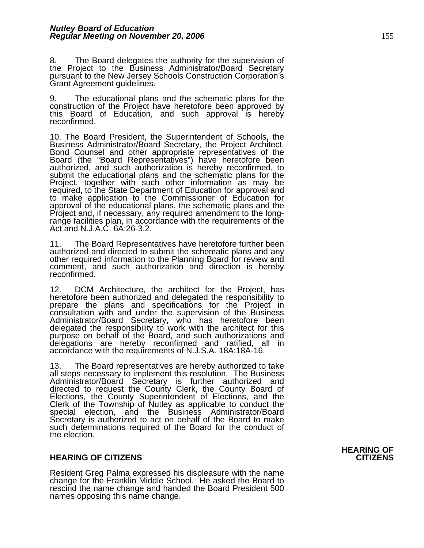8. The Board delegates the authority for the supervision of the Project to the Business Administrator/Board Secretary pursuant to the New Jersey Schools Construction Corporation's Grant Agreement guidelines.

9. The educational plans and the schematic plans for the construction of the Project have heretofore been approved by this Board of Education, and such approval is hereby reconfirmed.

10. The Board President, the Superintendent of Schools, the Business Administrator/Board Secretary, the Project Architect, Bond Counsel and other appropriate representatives of the Board (the "Board Representatives") have required, to the State Department of Education for approval and to make application to the Commissioner of Education for Project and, if necessary, any required amendment to the long-<br>range facilities plan, in accordance with the requirements of the<br>Act and N.J.A.C. 6A:26-3.2.

11. The Board Representatives have heretofore further been authorized and directed to submit the schematic plans and any other required information to the Planning Board for review and comment, and such authorization and direction is hereby reconfirmed.

12. DCM Architecture, the architect for the Project, has<br>heretofore been authorized and delegated the responsibility to<br>prepare the plans and specifications for the Project in<br>consultation with and under the supervision of purpose on behalf of the Board, and such authorizations and delegations are hereby reconfirmed and ratified, all in accordance with the requirements of N.J.S.A. 18A:18A-16.

13. The Board representatives are hereby authorized to take all steps necessary to implement this resolution. The Business Administrator/Board Secretary is further authorized and directed to request the County Clerk, the County Board of Elections, the County Superintendent of Elections, and the Clerk of the Township of Nutley as applicable to conduct the special election, and the Business Administrator/Board Secretary is authorized to act on behalf of the Board to make such determinations required of the Board for the conduct of the election.

#### **HEARING OF CITIZENS CITIZENS**

Resident Greg Palma expressed his displeasure with the name change for the Franklin Middle School. He asked the Board to rescind the name change and handed the Board President 500 names opposing this name change.

**HEARING OF**